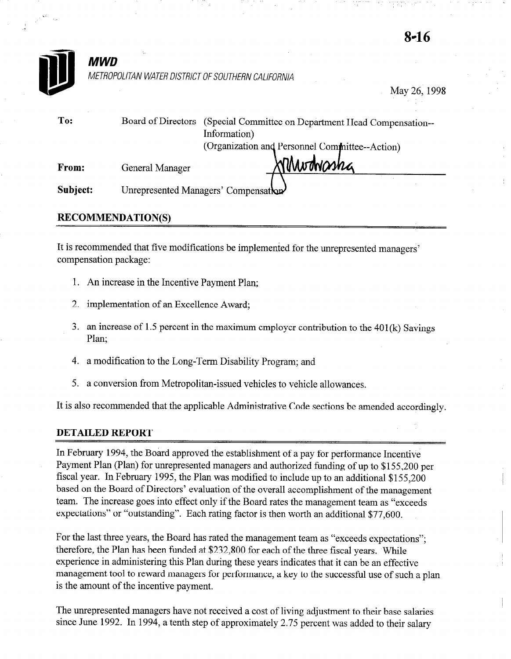

May 26,199s

| To:      | Board of Directors | (Special Committee on Department Head Compensation--<br>Information) |  |
|----------|--------------------|----------------------------------------------------------------------|--|
|          |                    | (Organization and Personnel Committee--Action)                       |  |
| From:    | General Manager    | Sonnethasha                                                          |  |
| Subject: |                    | Unrepresented Managers' Compensation                                 |  |

## **RECOMMENDATION(S)**

It is recommended that five modifications be implemented for the unrepresented managers' compensation package:

- 1. An increase in the Incentive Payment Plan;
- 2. implementation of an Excellence Award;
- 3. an increase of 1.5 percent in the maximum employer contribution to the  $401(k)$  Savings Plan;
- 4. a modification to the Long-Term Disability Program; and
- 5. a conversion from Metropolitan-issued vehicles to vehicle allowances.

It is also recommended that the applicable Administrative Code sections be amended accordingly.

## DETAILED REPORT

In February 1994, the Board approved the establishment of a pay for performance Incentive Payment Plan (Plan) for unrepresented managers and authorized funding of up to \$155,200 per fiscal year. In February 1995, the Plan was modified to include up to an additional \$155,200 based on the Board of Directors' evaluation of the overall accomplishment of the management team. The increase goes into effect only if the Board rates the management team as "exceeds expectations" or "outstanding". Each rating factor is then worth an additional \$77,600.

For the last three years, the Board has rated the management team as "exceeds expectations": therefore, the Plan has been funded at \$232,800 for each of the three fiscal years. While experience in administering this Plan during these years indicates that it can be an effective management tool to reward managers for performance, a key to the successful use of such a plan is the amount of the incentive payment.

The unrepresented managers have not received a cost of living adjustment to their base salaries since June 1992. In 1994, a tenth step of approximately 2.75 percent was added to their salary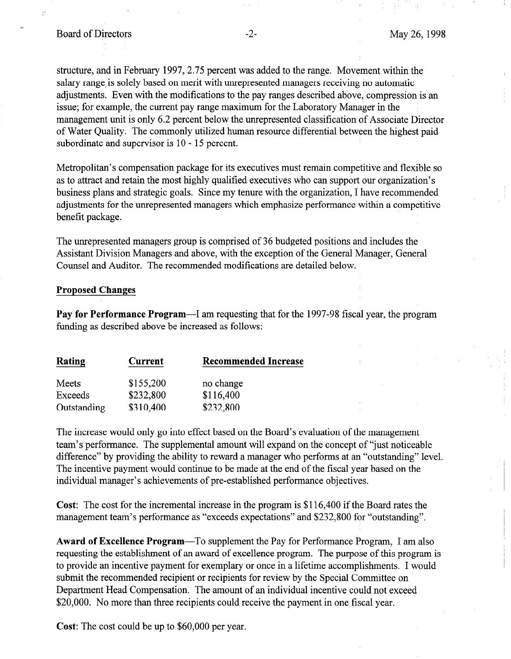# Board of Directors -2- May 26, 1998

structure, and in February 1997, 2.75 percent was added to the range. Movement within the salary range is solely based on merit with unrepresented managers receiving no automatic adjustments. Even with the modifications to the pay ranges described above, compression is an issue; for example, the current pay range maximum for the Laboratory Manager in the management unit is only 6.2 percent below the unrepresented classification of Associate Director of Water Quality. The commonly utilized human resource differential between the highest paid subordinate and supervisor is 10 - 15 percent.

Metropolitan's compensation package for its executives must remain competitive and flexible so as to attract and retain the most highly qualified executives who can support our organization's business plans and strategic goals. Since my tenure with the organization, I have recommended adjustments for the unrepresented managers which emphasize performance within a competitive benefit package.

The unrepresented managers group is comprised of 36 budgeted positions and includes the Assistant Division Managers and above, with the exception of the General Manager, General Counsel and Auditor. The recommended modifications are detailed below.

#### **Proposed Changes**

Pay for Performance Program—I am requesting that for the 1997-98 fiscal year, the program funding as described above be increased as follows:

| Rating      | Current   | <b>Recommended Increase</b> |
|-------------|-----------|-----------------------------|
| Meets       | \$155,200 | no change                   |
| Exceeds     | \$232,800 | \$116,400                   |
| Outstanding | \$310,400 | \$232,800                   |

The increase would only go into effect based on the Board's evaluation of the management team's performance. The supplemental amount will expand on the concept of "just noticeable difference" by providing the ability to reward a manager who performs at an "outstanding" level. The incentive payment would continue to be made at the end of the fiscal year based on the individual manager's achievements of pre-established performance objectives.

Cost: The cost for the incremental increase in the program is \$116,400 if the Board rates the management team's performance as "exceeds expectations" and \$232,800 for "outstanding".

Award of Excellence Program—To supplement the Pay for Performance Program, I am also requesting the establishment of an award of excellence program. The purpose of this program is to provide an incentive payment for exemplary or once in a lifetime accomplishments. I would submit the recommended recipient or recipients for review by the Special Committee on Department Head Compensation. The amount of an individual incentive could not exceed \$20,000. No more than three recipients could receive the payment in one fiscal year.

Cost: The cost could be up to \$60,000 per year.